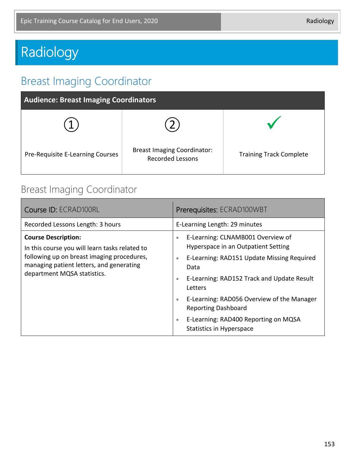# Radiology

# Breast Imaging Coordinator

| <b>Audience: Breast Imaging Coordinators</b> |                                                               |                                |
|----------------------------------------------|---------------------------------------------------------------|--------------------------------|
|                                              |                                                               |                                |
| Pre-Requisite E-Learning Courses             | <b>Breast Imaging Coordinator:</b><br><b>Recorded Lessons</b> | <b>Training Track Complete</b> |

#### Breast Imaging Coordinator

| Course ID: ECRAD100RL                                                                                                                                                                                 | Prerequisites: ECRAD100WBT                                                                                                                                                                                                                                                                                                                                                                                      |
|-------------------------------------------------------------------------------------------------------------------------------------------------------------------------------------------------------|-----------------------------------------------------------------------------------------------------------------------------------------------------------------------------------------------------------------------------------------------------------------------------------------------------------------------------------------------------------------------------------------------------------------|
| Recorded Lessons Length: 3 hours                                                                                                                                                                      | E-Learning Length: 29 minutes                                                                                                                                                                                                                                                                                                                                                                                   |
| <b>Course Description:</b><br>In this course you will learn tasks related to<br>following up on breast imaging procedures,<br>managing patient letters, and generating<br>department MQSA statistics. | E-Learning: CLNAMB001 Overview of<br>$\bullet$<br>Hyperspace in an Outpatient Setting<br>E-Learning: RAD151 Update Missing Required<br>$\bullet$<br>Data<br>E-Learning: RAD152 Track and Update Result<br>$\bullet$<br>Letters<br>E-Learning: RAD056 Overview of the Manager<br>$\bullet$<br><b>Reporting Dashboard</b><br>E-Learning: RAD400 Reporting on MQSA<br>$\bullet$<br><b>Statistics in Hyperspace</b> |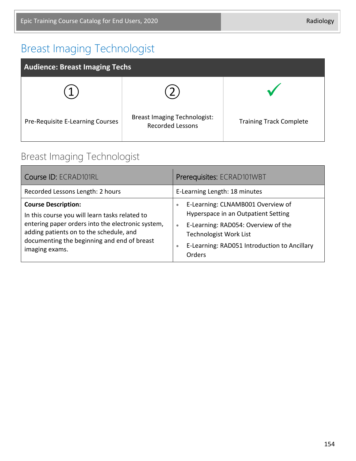# Breast Imaging Technologist

| <b>Audience: Breast Imaging Techs</b> |                                                                |                                |
|---------------------------------------|----------------------------------------------------------------|--------------------------------|
|                                       |                                                                |                                |
| Pre-Requisite E-Learning Courses      | <b>Breast Imaging Technologist:</b><br><b>Recorded Lessons</b> | <b>Training Track Complete</b> |

#### Breast Imaging Technologist

| Course ID: ECRAD101RL                                                                                                                                                                                                                         | Prerequisites: ECRAD101WBT                                                                                                                                                                                                                               |
|-----------------------------------------------------------------------------------------------------------------------------------------------------------------------------------------------------------------------------------------------|----------------------------------------------------------------------------------------------------------------------------------------------------------------------------------------------------------------------------------------------------------|
| Recorded Lessons Length: 2 hours                                                                                                                                                                                                              | E-Learning Length: 18 minutes                                                                                                                                                                                                                            |
| <b>Course Description:</b><br>In this course you will learn tasks related to<br>entering paper orders into the electronic system,<br>adding patients on to the schedule, and<br>documenting the beginning and end of breast<br>imaging exams. | E-Learning: CLNAMB001 Overview of<br>$\bullet$<br>Hyperspace in an Outpatient Setting<br>E-Learning: RAD054: Overview of the<br>$\bullet$<br><b>Technologist Work List</b><br>E-Learning: RAD051 Introduction to Ancillary<br>$\bullet$<br><b>Orders</b> |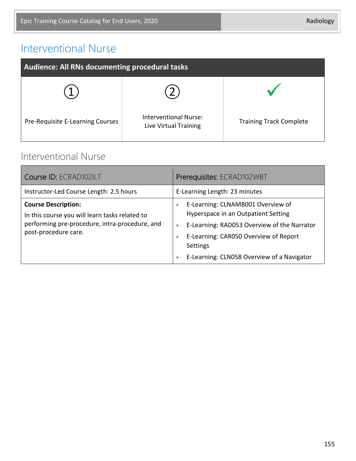#### Interventional Nurse

| Audience: All RNs documenting procedural tasks |                                                |                                |
|------------------------------------------------|------------------------------------------------|--------------------------------|
|                                                |                                                |                                |
| Pre-Requisite E-Learning Courses               | Interventional Nurse:<br>Live Virtual Training | <b>Training Track Complete</b> |

#### Interventional Nurse

| Course ID: ECRAD102ILT                                                                                                                                 | Prerequisites: ECRAD102WBT                                                                                                                                                                                                                                                            |
|--------------------------------------------------------------------------------------------------------------------------------------------------------|---------------------------------------------------------------------------------------------------------------------------------------------------------------------------------------------------------------------------------------------------------------------------------------|
| Instructor-Led Course Length: 2.5 hours                                                                                                                | E-Learning Length: 23 minutes                                                                                                                                                                                                                                                         |
| <b>Course Description:</b><br>In this course you will learn tasks related to<br>performing pre-procedure, intra-procedure, and<br>post-procedure care. | E-Learning: CLNAMB001 Overview of<br>$\bullet$<br>Hyperspace in an Outpatient Setting<br>E-Learning: RAD053 Overview of the Narrator<br>$\bullet$<br>E-Learning: CAR050 Overview of Report<br>$\bullet$<br><b>Settings</b><br>E-Learning: CLN058 Overview of a Navigator<br>$\bullet$ |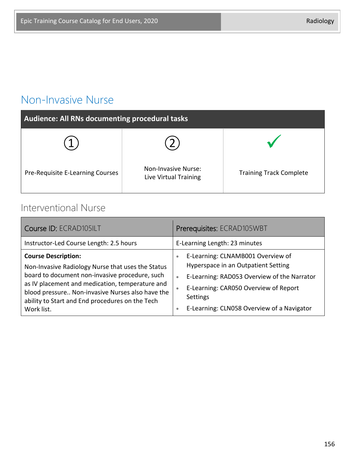#### Non-Invasive Nurse

| Audience: All RNs documenting procedural tasks |                                                     |                                |
|------------------------------------------------|-----------------------------------------------------|--------------------------------|
|                                                |                                                     |                                |
| Pre-Requisite E-Learning Courses               | <b>Non-Invasive Nurse:</b><br>Live Virtual Training | <b>Training Track Complete</b> |

#### Interventional Nurse

| Course ID: ECRAD105ILT                                                                                                                                                                                                                                                                                    | Prerequisites: ECRAD105WBT                                                                                                                                                                                                                                                            |
|-----------------------------------------------------------------------------------------------------------------------------------------------------------------------------------------------------------------------------------------------------------------------------------------------------------|---------------------------------------------------------------------------------------------------------------------------------------------------------------------------------------------------------------------------------------------------------------------------------------|
| Instructor-Led Course Length: 2.5 hours                                                                                                                                                                                                                                                                   | E-Learning Length: 23 minutes                                                                                                                                                                                                                                                         |
| <b>Course Description:</b><br>Non-Invasive Radiology Nurse that uses the Status<br>board to document non-invasive procedure, such<br>as IV placement and medication, temperature and<br>blood pressure Non-invasive Nurses also have the<br>ability to Start and End procedures on the Tech<br>Work list. | E-Learning: CLNAMB001 Overview of<br>$\bullet$<br>Hyperspace in an Outpatient Setting<br>E-Learning: RAD053 Overview of the Narrator<br>$\bullet$<br>E-Learning: CAR050 Overview of Report<br>$\bullet$<br><b>Settings</b><br>E-Learning: CLN058 Overview of a Navigator<br>$\bullet$ |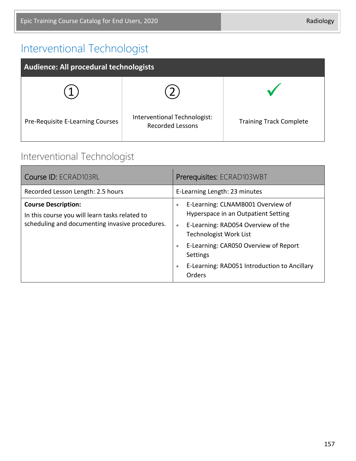## Interventional Technologist

| Audience: All procedural technologists |                                                         |                                |
|----------------------------------------|---------------------------------------------------------|--------------------------------|
|                                        |                                                         |                                |
| Pre-Requisite E-Learning Courses       | Interventional Technologist:<br><b>Recorded Lessons</b> | <b>Training Track Complete</b> |

#### Interventional Technologist

| Course ID: ECRAD103RL                                                                                                           | Prerequisites: ECRAD103WBT                                                                                                                                                                                                                                                                                         |
|---------------------------------------------------------------------------------------------------------------------------------|--------------------------------------------------------------------------------------------------------------------------------------------------------------------------------------------------------------------------------------------------------------------------------------------------------------------|
| Recorded Lesson Length: 2.5 hours                                                                                               | E-Learning Length: 23 minutes                                                                                                                                                                                                                                                                                      |
| <b>Course Description:</b><br>In this course you will learn tasks related to<br>scheduling and documenting invasive procedures. | E-Learning: CLNAMB001 Overview of<br>$\bullet$<br>Hyperspace in an Outpatient Setting<br>E-Learning: RAD054 Overview of the<br>$\bullet$<br><b>Technologist Work List</b><br>E-Learning: CAR050 Overview of Report<br>$\bullet$<br>Settings<br>E-Learning: RAD051 Introduction to Ancillary<br>$\bullet$<br>Orders |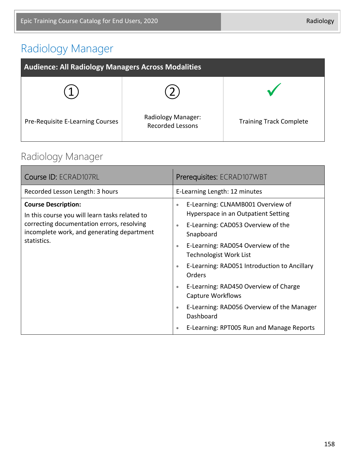# Radiology Manager

| <b>Audience: All Radiology Managers Across Modalities</b> |                                               |                                |
|-----------------------------------------------------------|-----------------------------------------------|--------------------------------|
|                                                           |                                               |                                |
| Pre-Requisite E-Learning Courses                          | Radiology Manager:<br><b>Recorded Lessons</b> | <b>Training Track Complete</b> |

## Radiology Manager

| Course ID: ECRAD107RL                                                                                                                                                                   | Prerequisites: ECRAD107WBT                                                                                                                                                                                                                                                                                                                                                                                                                                                                                                           |
|-----------------------------------------------------------------------------------------------------------------------------------------------------------------------------------------|--------------------------------------------------------------------------------------------------------------------------------------------------------------------------------------------------------------------------------------------------------------------------------------------------------------------------------------------------------------------------------------------------------------------------------------------------------------------------------------------------------------------------------------|
| Recorded Lesson Length: 3 hours                                                                                                                                                         | E-Learning Length: 12 minutes                                                                                                                                                                                                                                                                                                                                                                                                                                                                                                        |
| <b>Course Description:</b><br>In this course you will learn tasks related to<br>correcting documentation errors, resolving<br>incomplete work, and generating department<br>statistics. | E-Learning: CLNAMB001 Overview of<br>$\bullet$<br>Hyperspace in an Outpatient Setting<br>E-Learning: CAD053 Overview of the<br>$\bullet$<br>Snapboard<br>E-Learning: RAD054 Overview of the<br>$\bullet$<br><b>Technologist Work List</b><br>E-Learning: RAD051 Introduction to Ancillary<br>$\bullet$<br><b>Orders</b><br>E-Learning: RAD450 Overview of Charge<br>$\bullet$<br>Capture Workflows<br>E-Learning: RAD056 Overview of the Manager<br>$\bullet$<br>Dashboard<br>E-Learning: RPT005 Run and Manage Reports<br>$\bullet$ |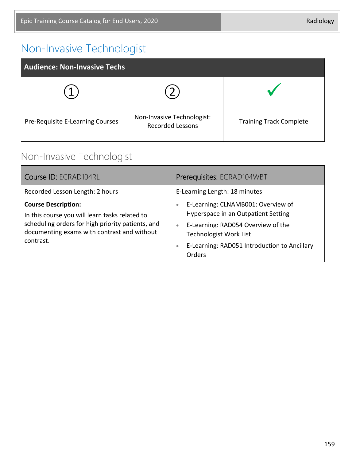## Non-Invasive Technologist

| <b>Audience: Non-Invasive Techs</b> |                                                       |                                |  |
|-------------------------------------|-------------------------------------------------------|--------------------------------|--|
|                                     |                                                       |                                |  |
| Pre-Requisite E-Learning Courses    | Non-Invasive Technologist:<br><b>Recorded Lessons</b> | <b>Training Track Complete</b> |  |

#### Non-Invasive Technologist

| Course ID: ECRAD104RL                                                                                                                                                                         | Prerequisites: ECRAD104WBT                                                                                                                                                                                                                        |  |
|-----------------------------------------------------------------------------------------------------------------------------------------------------------------------------------------------|---------------------------------------------------------------------------------------------------------------------------------------------------------------------------------------------------------------------------------------------------|--|
| Recorded Lesson Length: 2 hours                                                                                                                                                               | E-Learning Length: 18 minutes                                                                                                                                                                                                                     |  |
| <b>Course Description:</b><br>In this course you will learn tasks related to<br>scheduling orders for high priority patients, and<br>documenting exams with contrast and without<br>contrast. | E-Learning: CLNAMB001: Overview of<br>$\bullet$<br>Hyperspace in an Outpatient Setting<br>E-Learning: RAD054 Overview of the<br>$\bullet$<br><b>Technologist Work List</b><br>E-Learning: RAD051 Introduction to Ancillary<br>$\bullet$<br>Orders |  |